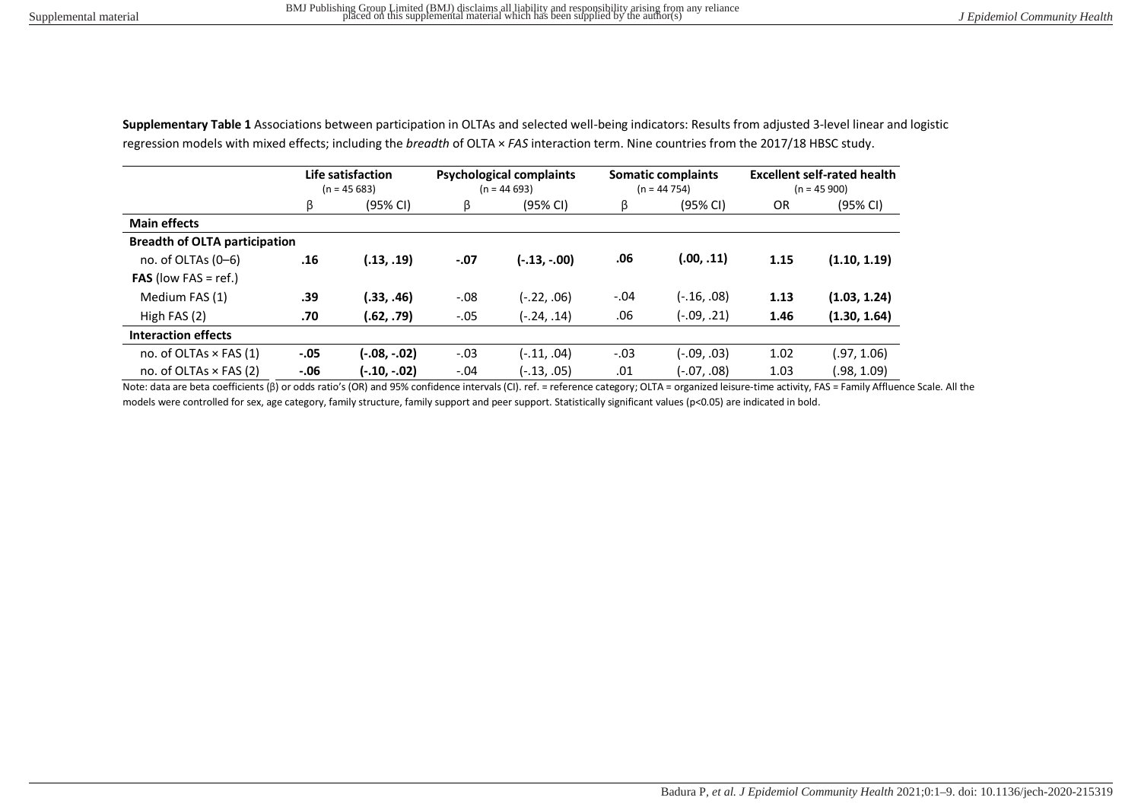|                                      | Life satisfaction<br>$(n = 45683)$ |              | <b>Psychological complaints</b><br>$(n = 44693)$ |                | <b>Somatic complaints</b><br>$(n = 44754)$ |             | <b>Excellent self-rated health</b><br>$(n = 45900)$ |              |
|--------------------------------------|------------------------------------|--------------|--------------------------------------------------|----------------|--------------------------------------------|-------------|-----------------------------------------------------|--------------|
|                                      | ß                                  | (95% CI)     | ß                                                | (95% CI)       | ß                                          | (95% CI)    | <b>OR</b>                                           | (95% CI)     |
| <b>Main effects</b>                  |                                    |              |                                                  |                |                                            |             |                                                     |              |
| <b>Breadth of OLTA participation</b> |                                    |              |                                                  |                |                                            |             |                                                     |              |
| no. of OLTAs $(0-6)$                 | .16                                | (.13, .19)   | $-.07$                                           | $(-.13, -.00)$ | .06                                        | (.00, .11)  | 1.15                                                | (1.10, 1.19) |
| <b>FAS</b> (low FAS = ref.)          |                                    |              |                                                  |                |                                            |             |                                                     |              |
| Medium FAS (1)                       | .39                                | (.33, .46)   | $-.08$                                           | (-.22, .06)    | $-.04$                                     | (-.16, .08) | 1.13                                                | (1.03, 1.24) |
| High FAS $(2)$                       | .70                                | (.62, .79)   | $-.05$                                           | (-.24, .14)    | .06                                        | (-.09, .21) | 1.46                                                | (1.30, 1.64) |
| <b>Interaction effects</b>           |                                    |              |                                                  |                |                                            |             |                                                     |              |
| no. of OLTAs $\times$ FAS (1)        | $-.05$                             | (-.08, -.02) | $-.03$                                           | (-.11, .04)    | $-.03$                                     | (-.09, .03) | 1.02                                                | (.97, 1.06)  |
| no. of OLTAs $\times$ FAS (2)        | $-0.06$                            | (-.10, -.02) | $-.04$                                           | (-.13, .05)    | .01                                        | (-.07, .08) | 1.03                                                | .98, 1.09    |

**Supplementary Table 1** Associations between participation in OLTAs and selected well-being indicators: Results from adjusted 3-level linear and logistic regression models with mixed effects; including the *breadth* of OLTA × *FAS* interaction term. Nine countries from the 2017/18 HBSC study.

Note: data are beta coefficients (β) or odds ratio's (OR) and 95% confidence intervals (CI). ref. = reference category; OLTA = organized leisure-time activity, FAS = Family Affluence Scale. All the models were controlled for sex, age category, family structure, family support and peer support. Statistically significant values (p<0.05) are indicated in bold.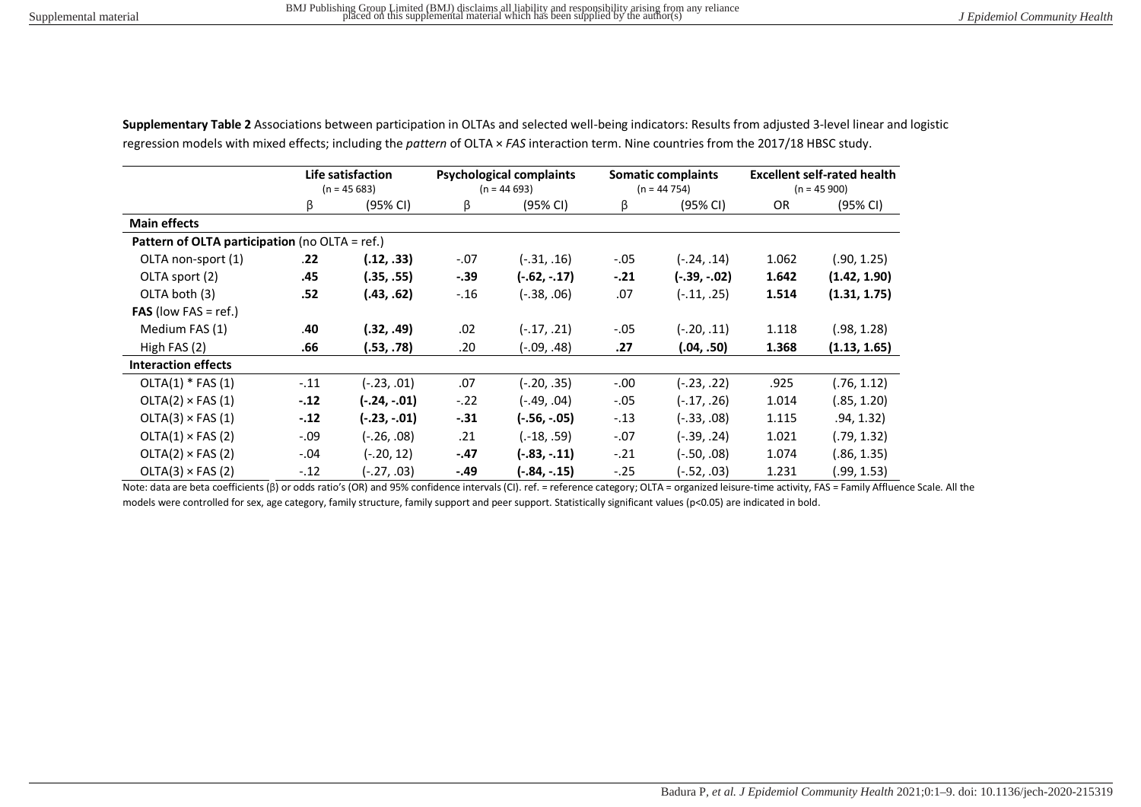|                                                | Life satisfaction<br>$(n = 45683)$ |                | <b>Psychological complaints</b><br>$(n = 44693)$ |                | <b>Somatic complaints</b><br>$(n = 44754)$ |               | <b>Excellent self-rated health</b><br>$(n = 45900)$ |              |
|------------------------------------------------|------------------------------------|----------------|--------------------------------------------------|----------------|--------------------------------------------|---------------|-----------------------------------------------------|--------------|
|                                                | β                                  | (95% CI)       | β                                                | (95% CI)       | β                                          | (95% CI)      | <b>OR</b>                                           | (95% CI)     |
| <b>Main effects</b>                            |                                    |                |                                                  |                |                                            |               |                                                     |              |
| Pattern of OLTA participation (no OLTA = ref.) |                                    |                |                                                  |                |                                            |               |                                                     |              |
| OLTA non-sport (1)                             | .22                                | (.12, .33)     | $-.07$                                           | $(-.31, .16)$  | $-.05$                                     | $(-.24, .14)$ | 1.062                                               | (.90, 1.25)  |
| OLTA sport (2)                                 | .45                                | (.35, .55)     | $-.39$                                           | $(-.62, -.17)$ | $-.21$                                     | (-.39, -.02)  | 1.642                                               | (1.42, 1.90) |
| OLTA both (3)                                  | .52                                | (.43, .62)     | $-.16$                                           | (-.38, .06)    | .07                                        | $(-.11, .25)$ | 1.514                                               | (1.31, 1.75) |
| <b>FAS</b> (low FAS = ref.)                    |                                    |                |                                                  |                |                                            |               |                                                     |              |
| Medium FAS (1)                                 | .40                                | (.32, .49)     | .02                                              | $(-.17, .21)$  | $-.05$                                     | $(-.20, .11)$ | 1.118                                               | (.98, 1.28)  |
| High FAS (2)                                   | .66                                | (.53, .78)     | .20                                              | (-.09, .48)    | .27                                        | (.04, .50)    | 1.368                                               | (1.13, 1.65) |
| <b>Interaction effects</b>                     |                                    |                |                                                  |                |                                            |               |                                                     |              |
| $OLTA(1) * FAS(1)$                             | $-.11$                             | $(-.23, .01)$  | .07                                              | (-.20, .35)    | $-.00$                                     | (-.23, .22)   | .925                                                | (.76, 1.12)  |
| $OLTA(2) \times FAS(1)$                        | $-.12$                             | $(-.24, -.01)$ | $-.22$                                           | (49, .04)      | $-.05$                                     | $(-.17, .26)$ | 1.014                                               | (.85, 1.20)  |
| $OLTA(3) \times FAS(1)$                        | $-.12$                             | $(-.23, -.01)$ | $-31$                                            | $(-.56, -.05)$ | $-.13$                                     | (-.33, .08)   | 1.115                                               | .94, 1.32)   |
| $OLTA(1) \times FAS(2)$                        | $-.09$                             | (-.26, .08)    | .21                                              | $(-18, .59)$   | $-.07$                                     | $(-.39, .24)$ | 1.021                                               | (.79, 1.32)  |
| $OLTA(2) \times FAS(2)$                        | $-.04$                             | (-.20, 12)     | $-.47$                                           | $(-.83, -.11)$ | $-.21$                                     | $(-.50, .08)$ | 1.074                                               | (.86, 1.35)  |
| $OLTA(3) \times FAS(2)$                        | $-.12$                             | (27, .03).     | -.49                                             | (-.84, -.15)   | $-.25$                                     | (-.52, .03)   | 1.231                                               | (.99, 1.53)  |

**Supplementary Table 2** Associations between participation in OLTAs and selected well-being indicators: Results from adjusted 3-level linear and logistic regression models with mixed effects; including the *pattern* of OLTA × *FAS* interaction term. Nine countries from the 2017/18 HBSC study.

Note: data are beta coefficients (β) or odds ratio's (OR) and 95% confidence intervals (CI). ref. = reference category; OLTA = organized leisure-time activity, FAS = Family Affluence Scale. All the models were controlled for sex, age category, family structure, family support and peer support. Statistically significant values (p<0.05) are indicated in bold.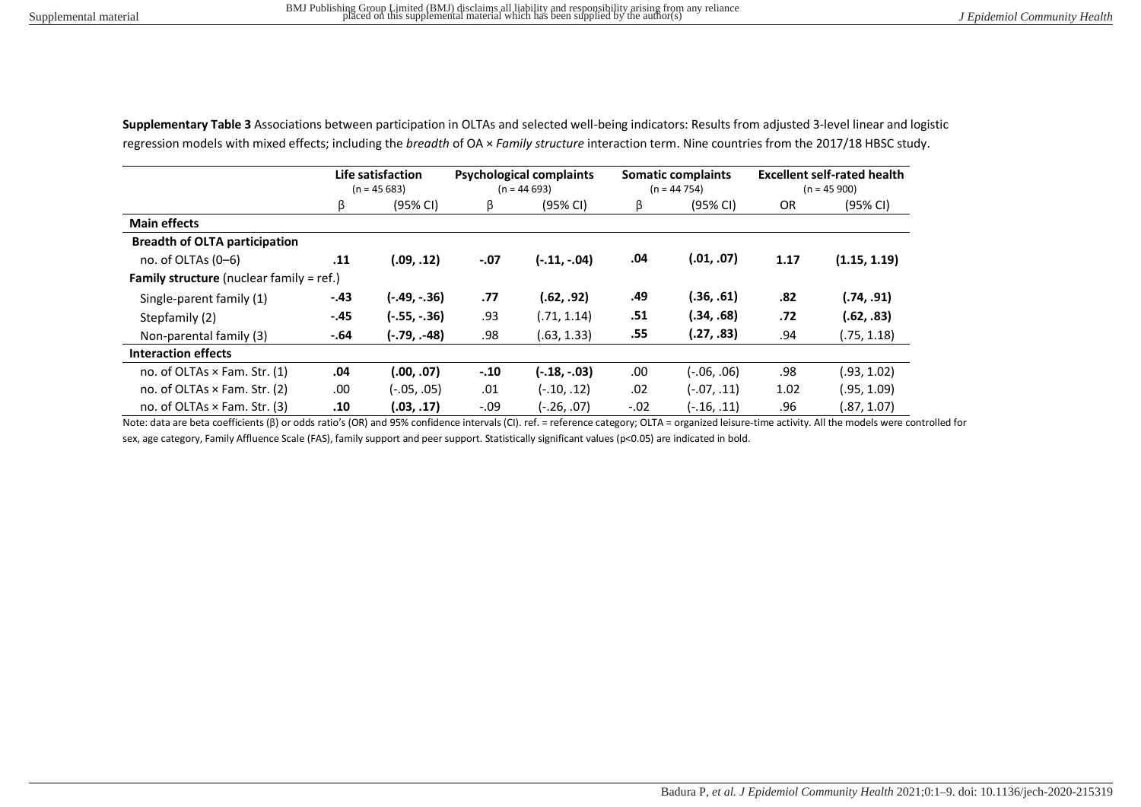|                                                 | Life satisfaction<br>$(n = 45683)$ |                | <b>Psychological complaints</b><br>$(n = 44693)$ |                | <b>Somatic complaints</b><br>$(n = 44754)$ |             | <b>Excellent self-rated health</b><br>$(n = 45 900)$ |              |
|-------------------------------------------------|------------------------------------|----------------|--------------------------------------------------|----------------|--------------------------------------------|-------------|------------------------------------------------------|--------------|
|                                                 | β                                  | (95% CI)       | β                                                | (95% CI)       | ß                                          | (95% CI)    | OR.                                                  | (95% CI)     |
| <b>Main effects</b>                             |                                    |                |                                                  |                |                                            |             |                                                      |              |
| <b>Breadth of OLTA participation</b>            |                                    |                |                                                  |                |                                            |             |                                                      |              |
| no. of OLTAs $(0-6)$                            | .11                                | (.09, .12)     | $-.07$                                           | $(-.11, -.04)$ | .04                                        | (.01, .07)  | 1.17                                                 | (1.15, 1.19) |
| <b>Family structure</b> (nuclear family = ref.) |                                    |                |                                                  |                |                                            |             |                                                      |              |
| Single-parent family (1)                        | $-.43$                             | $(-.49, -.36)$ | .77                                              | (.62, .92)     | .49                                        | (.36, .61)  | .82                                                  | (.74, .91)   |
| Stepfamily (2)                                  | $-.45$                             | $(-.55, -.36)$ | .93                                              | (.71, 1.14)    | .51                                        | (.34, .68)  | .72                                                  | (.62, .83)   |
| Non-parental family (3)                         | $-.64$                             | (-.79, .-48)   | .98                                              | (.63, 1.33)    | .55                                        | (.27, .83)  | .94                                                  | (.75, 1.18)  |
| Interaction effects                             |                                    |                |                                                  |                |                                            |             |                                                      |              |
| no. of OLTAs $\times$ Fam. Str. (1)             | .04                                | (.00, .07)     | $-.10$                                           | $(-.18, -.03)$ | .00.                                       | (-.06, .06) | .98                                                  | (.93, 1.02)  |
| no. of OLTAs × Fam. Str. (2)                    | .00                                | $(-.05, .05)$  | .01                                              | $(-.10, .12)$  | .02                                        | (-.07, .11) | 1.02                                                 | (.95, 1.09)  |
| no. of OLTAs × Fam. Str. (3)                    | .10                                | (.03, .17)     | $-.09$                                           | $(-.26, .07)$  | $-.02$                                     | (-.16, .11) | .96                                                  | (.87, 1.07)  |

**Supplementary Table 3** Associations between participation in OLTAs and selected well-being indicators: Results from adjusted 3-level linear and logistic regression models with mixed effects; including the *breadth* of OA × *Family structure* interaction term. Nine countries from the 2017/18 HBSC study.

Note: data are beta coefficients (β) or odds ratio's (OR) and 95% confidence intervals (CI). ref. = reference category; OLTA = organized leisure-time activity. All the models were controlled for sex, age category, Family Affluence Scale (FAS), family support and peer support. Statistically significant values (p<0.05) are indicated in bold.